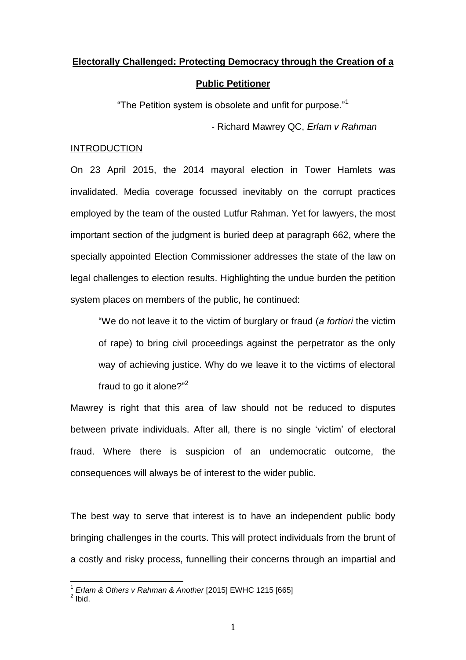# **Electorally Challenged: Protecting Democracy through the Creation of a**

### **Public Petitioner**

"The Petition system is obsolete and unfit for purpose."<sup>1</sup>

- Richard Mawrey QC, *Erlam v Rahman*

## **INTRODUCTION**

On 23 April 2015, the 2014 mayoral election in Tower Hamlets was invalidated. Media coverage focussed inevitably on the corrupt practices employed by the team of the ousted Lutfur Rahman. Yet for lawyers, the most important section of the judgment is buried deep at paragraph 662, where the specially appointed Election Commissioner addresses the state of the law on legal challenges to election results. Highlighting the undue burden the petition system places on members of the public, he continued:

"We do not leave it to the victim of burglary or fraud (*a fortiori* the victim of rape) to bring civil proceedings against the perpetrator as the only way of achieving justice. Why do we leave it to the victims of electoral fraud to go it alone?"<sup>2</sup>

Mawrey is right that this area of law should not be reduced to disputes between private individuals. After all, there is no single 'victim' of electoral fraud. Where there is suspicion of an undemocratic outcome, the consequences will always be of interest to the wider public.

The best way to serve that interest is to have an independent public body bringing challenges in the courts. This will protect individuals from the brunt of a costly and risky process, funnelling their concerns through an impartial and

<sup>&</sup>lt;sup>1</sup> *Erlam & Others v Rahman & Another* [2015] EWHC 1215 [665]<br><sup>2</sup> Ibid.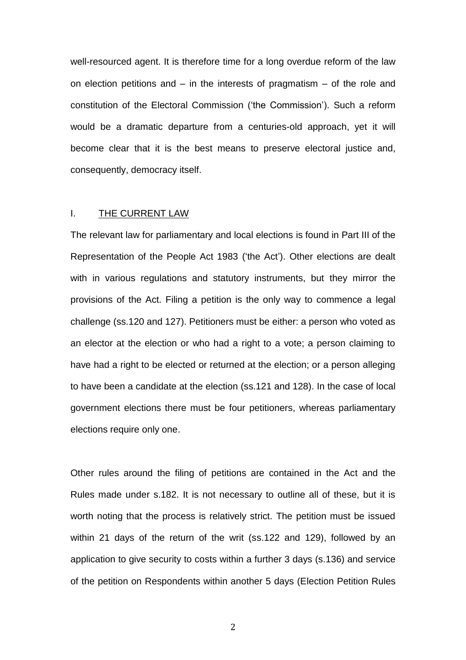well-resourced agent. It is therefore time for a long overdue reform of the law on election petitions and  $-$  in the interests of pragmatism  $-$  of the role and constitution of the Electoral Commission ('the Commission'). Such a reform would be a dramatic departure from a centuries-old approach, yet it will become clear that it is the best means to preserve electoral justice and, consequently, democracy itself.

## I. THE CURRENT LAW

The relevant law for parliamentary and local elections is found in Part III of the Representation of the People Act 1983 ('the Act'). Other elections are dealt with in various regulations and statutory instruments, but they mirror the provisions of the Act. Filing a petition is the only way to commence a legal challenge (ss.120 and 127). Petitioners must be either: a person who voted as an elector at the election or who had a right to a vote; a person claiming to have had a right to be elected or returned at the election; or a person alleging to have been a candidate at the election (ss.121 and 128). In the case of local government elections there must be four petitioners, whereas parliamentary elections require only one.

Other rules around the filing of petitions are contained in the Act and the Rules made under s.182. It is not necessary to outline all of these, but it is worth noting that the process is relatively strict. The petition must be issued within 21 days of the return of the writ (ss.122 and 129), followed by an application to give security to costs within a further 3 days (s.136) and service of the petition on Respondents within another 5 days (Election Petition Rules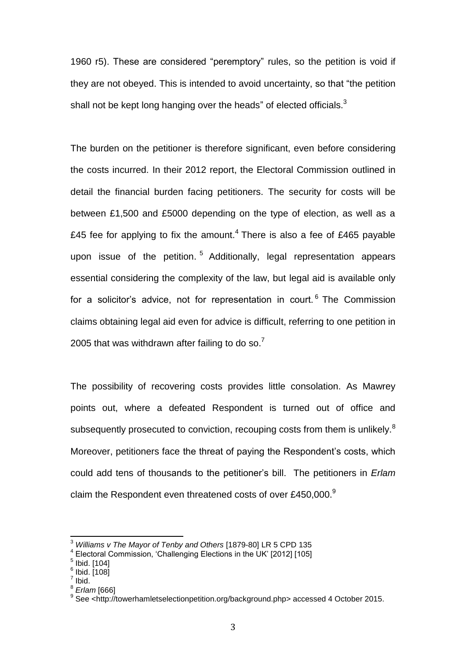1960 r5). These are considered "peremptory" rules, so the petition is void if they are not obeyed. This is intended to avoid uncertainty, so that "the petition shall not be kept long hanging over the heads" of elected officials. $3<sup>3</sup>$ 

The burden on the petitioner is therefore significant, even before considering the costs incurred. In their 2012 report, the Electoral Commission outlined in detail the financial burden facing petitioners. The security for costs will be between £1,500 and £5000 depending on the type of election, as well as a £45 fee for applying to fix the amount.<sup>4</sup> There is also a fee of £465 payable upon issue of the petition.<sup>5</sup> Additionally, legal representation appears essential considering the complexity of the law, but legal aid is available only for a solicitor's advice, not for representation in court.<sup>6</sup> The Commission claims obtaining legal aid even for advice is difficult, referring to one petition in 2005 that was withdrawn after failing to do so.<sup>7</sup>

The possibility of recovering costs provides little consolation. As Mawrey points out, where a defeated Respondent is turned out of office and subsequently prosecuted to conviction, recouping costs from them is unlikely.<sup>8</sup> Moreover, petitioners face the threat of paying the Respondent's costs, which could add tens of thousands to the petitioner's bill. The petitioners in *Erlam* claim the Respondent even threatened costs of over £450,000.<sup>9</sup>

<sup>3</sup> *Williams v The Mayor of Tenby and Others* [1879-80] LR 5 CPD 135

<sup>4</sup> Electoral Commission, 'Challenging Elections in the UK' [2012] [105]

 $^{\rm 5}$  Ibid. [104]

 $^6$  Ibid.  $\dot{[}108\dot{]}$ 

 $\frac{7}{1}$  lbid.

<sup>8</sup> *Erlam* [666]

<sup>&</sup>lt;sup>9</sup> See <http://towerhamletselectionpetition.org/background.php> accessed 4 October 2015.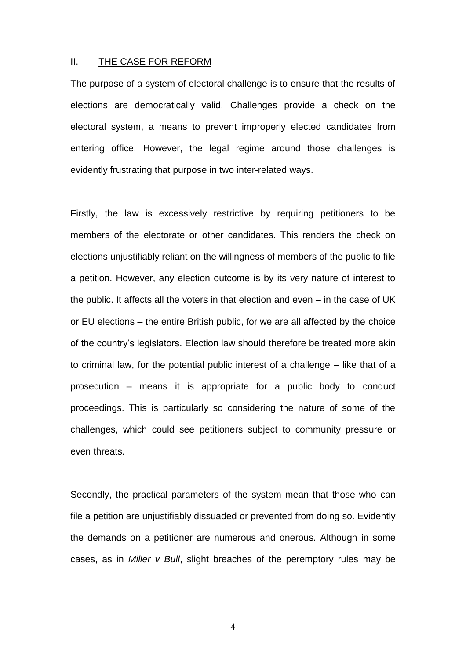#### II. THE CASE FOR REFORM

The purpose of a system of electoral challenge is to ensure that the results of elections are democratically valid. Challenges provide a check on the electoral system, a means to prevent improperly elected candidates from entering office. However, the legal regime around those challenges is evidently frustrating that purpose in two inter-related ways.

Firstly, the law is excessively restrictive by requiring petitioners to be members of the electorate or other candidates. This renders the check on elections unjustifiably reliant on the willingness of members of the public to file a petition. However, any election outcome is by its very nature of interest to the public. It affects all the voters in that election and even – in the case of UK or EU elections – the entire British public, for we are all affected by the choice of the country's legislators. Election law should therefore be treated more akin to criminal law, for the potential public interest of a challenge – like that of a prosecution – means it is appropriate for a public body to conduct proceedings. This is particularly so considering the nature of some of the challenges, which could see petitioners subject to community pressure or even threats.

Secondly, the practical parameters of the system mean that those who can file a petition are unjustifiably dissuaded or prevented from doing so. Evidently the demands on a petitioner are numerous and onerous. Although in some cases, as in *Miller v Bull*, slight breaches of the peremptory rules may be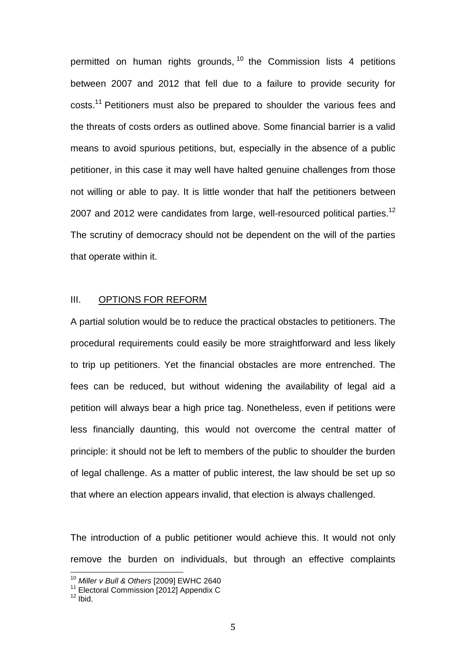permitted on human rights grounds, <sup>10</sup> the Commission lists 4 petitions between 2007 and 2012 that fell due to a failure to provide security for costs.<sup>11</sup> Petitioners must also be prepared to shoulder the various fees and the threats of costs orders as outlined above. Some financial barrier is a valid means to avoid spurious petitions, but, especially in the absence of a public petitioner, in this case it may well have halted genuine challenges from those not willing or able to pay. It is little wonder that half the petitioners between 2007 and 2012 were candidates from large, well-resourced political parties.<sup>12</sup> The scrutiny of democracy should not be dependent on the will of the parties that operate within it.

## III. OPTIONS FOR REFORM

A partial solution would be to reduce the practical obstacles to petitioners. The procedural requirements could easily be more straightforward and less likely to trip up petitioners. Yet the financial obstacles are more entrenched. The fees can be reduced, but without widening the availability of legal aid a petition will always bear a high price tag. Nonetheless, even if petitions were less financially daunting, this would not overcome the central matter of principle: it should not be left to members of the public to shoulder the burden of legal challenge. As a matter of public interest, the law should be set up so that where an election appears invalid, that election is always challenged.

The introduction of a public petitioner would achieve this. It would not only remove the burden on individuals, but through an effective complaints

<sup>10</sup> *Miller v Bull & Others* [2009] EWHC 2640

<sup>&</sup>lt;sup>11</sup> Electoral Commission [2012] Appendix C

 $12$  lbid.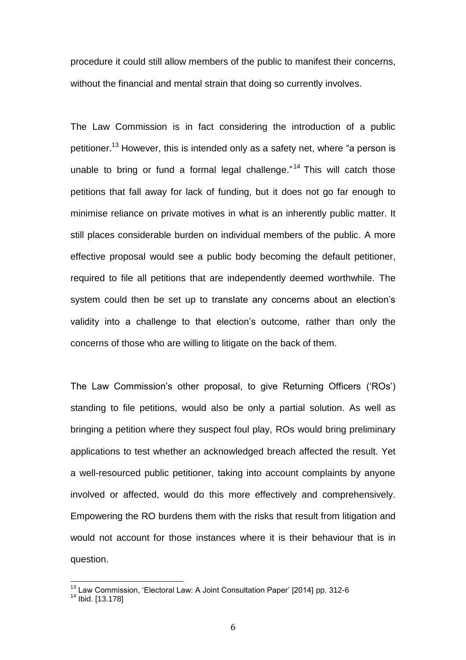procedure it could still allow members of the public to manifest their concerns, without the financial and mental strain that doing so currently involves.

The Law Commission is in fact considering the introduction of a public petitioner.<sup>13</sup> However, this is intended only as a safety net, where "a person is unable to bring or fund a formal legal challenge."<sup>14</sup> This will catch those petitions that fall away for lack of funding, but it does not go far enough to minimise reliance on private motives in what is an inherently public matter. It still places considerable burden on individual members of the public. A more effective proposal would see a public body becoming the default petitioner, required to file all petitions that are independently deemed worthwhile. The system could then be set up to translate any concerns about an election's validity into a challenge to that election's outcome, rather than only the concerns of those who are willing to litigate on the back of them.

The Law Commission's other proposal, to give Returning Officers ('ROs') standing to file petitions, would also be only a partial solution. As well as bringing a petition where they suspect foul play, ROs would bring preliminary applications to test whether an acknowledged breach affected the result. Yet a well-resourced public petitioner, taking into account complaints by anyone involved or affected, would do this more effectively and comprehensively. Empowering the RO burdens them with the risks that result from litigation and would not account for those instances where it is their behaviour that is in question.

<sup>&</sup>lt;sup>13</sup> Law Commission, 'Electoral Law: A Joint Consultation Paper' [2014] pp. 312-6

<sup>&</sup>lt;sup>14</sup> Ibid. [13.178]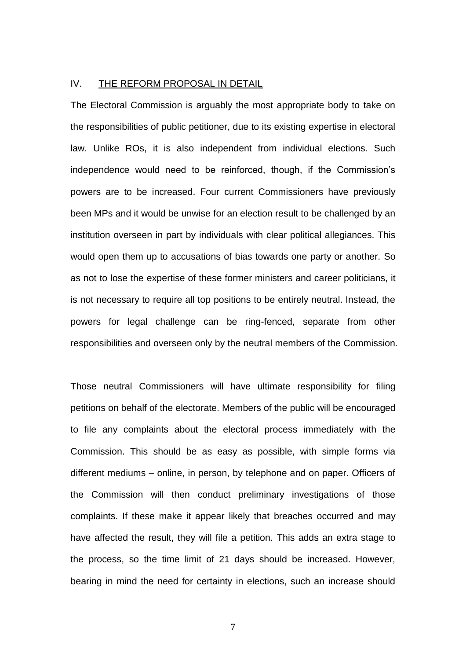## IV. THE REFORM PROPOSAL IN DETAIL

The Electoral Commission is arguably the most appropriate body to take on the responsibilities of public petitioner, due to its existing expertise in electoral law. Unlike ROs, it is also independent from individual elections. Such independence would need to be reinforced, though, if the Commission's powers are to be increased. Four current Commissioners have previously been MPs and it would be unwise for an election result to be challenged by an institution overseen in part by individuals with clear political allegiances. This would open them up to accusations of bias towards one party or another. So as not to lose the expertise of these former ministers and career politicians, it is not necessary to require all top positions to be entirely neutral. Instead, the powers for legal challenge can be ring-fenced, separate from other responsibilities and overseen only by the neutral members of the Commission.

Those neutral Commissioners will have ultimate responsibility for filing petitions on behalf of the electorate. Members of the public will be encouraged to file any complaints about the electoral process immediately with the Commission. This should be as easy as possible, with simple forms via different mediums – online, in person, by telephone and on paper. Officers of the Commission will then conduct preliminary investigations of those complaints. If these make it appear likely that breaches occurred and may have affected the result, they will file a petition. This adds an extra stage to the process, so the time limit of 21 days should be increased. However, bearing in mind the need for certainty in elections, such an increase should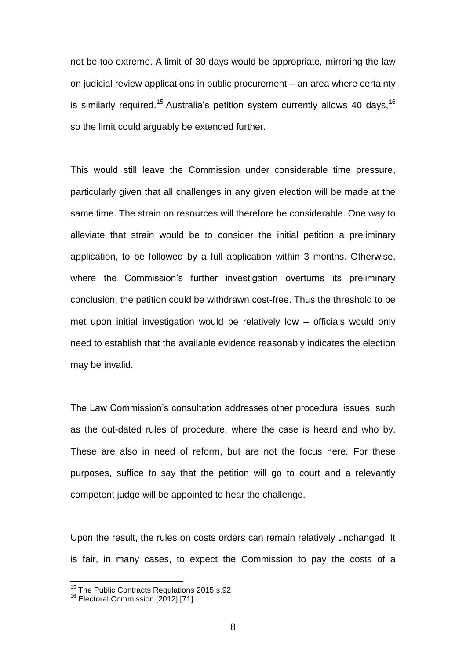not be too extreme. A limit of 30 days would be appropriate, mirroring the law on judicial review applications in public procurement – an area where certainty is similarly required.<sup>15</sup> Australia's petition system currently allows 40 days,  $16$ so the limit could arguably be extended further.

This would still leave the Commission under considerable time pressure, particularly given that all challenges in any given election will be made at the same time. The strain on resources will therefore be considerable. One way to alleviate that strain would be to consider the initial petition a preliminary application, to be followed by a full application within 3 months. Otherwise, where the Commission's further investigation overturns its preliminary conclusion, the petition could be withdrawn cost-free. Thus the threshold to be met upon initial investigation would be relatively low – officials would only need to establish that the available evidence reasonably indicates the election may be invalid.

The Law Commission's consultation addresses other procedural issues, such as the out-dated rules of procedure, where the case is heard and who by. These are also in need of reform, but are not the focus here. For these purposes, suffice to say that the petition will go to court and a relevantly competent judge will be appointed to hear the challenge.

Upon the result, the rules on costs orders can remain relatively unchanged. It is fair, in many cases, to expect the Commission to pay the costs of a

<sup>&</sup>lt;sup>15</sup> The Public Contracts Regulations 2015 s.92

<sup>&</sup>lt;sup>16</sup> Electoral Commission [2012] [71]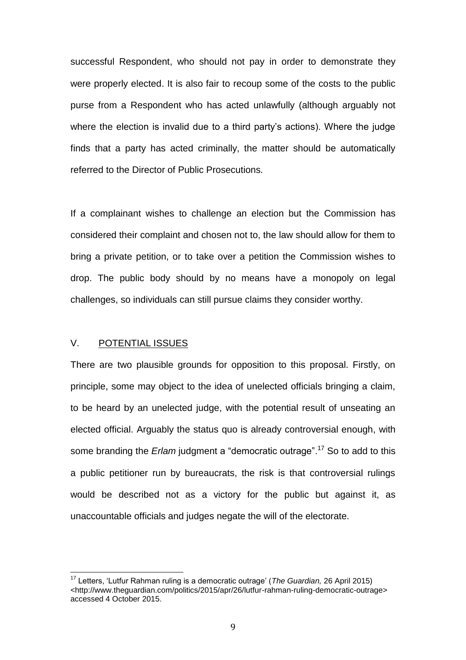successful Respondent, who should not pay in order to demonstrate they were properly elected. It is also fair to recoup some of the costs to the public purse from a Respondent who has acted unlawfully (although arguably not where the election is invalid due to a third party's actions). Where the judge finds that a party has acted criminally, the matter should be automatically referred to the Director of Public Prosecutions.

If a complainant wishes to challenge an election but the Commission has considered their complaint and chosen not to, the law should allow for them to bring a private petition, or to take over a petition the Commission wishes to drop. The public body should by no means have a monopoly on legal challenges, so individuals can still pursue claims they consider worthy.

## V. POTENTIAL ISSUES

 $\overline{\phantom{a}}$ 

There are two plausible grounds for opposition to this proposal. Firstly, on principle, some may object to the idea of unelected officials bringing a claim, to be heard by an unelected judge, with the potential result of unseating an elected official. Arguably the status quo is already controversial enough, with some branding the *Erlam* judgment a "democratic outrage". <sup>17</sup> So to add to this a public petitioner run by bureaucrats, the risk is that controversial rulings would be described not as a victory for the public but against it, as unaccountable officials and judges negate the will of the electorate.

<sup>17</sup> Letters, 'Lutfur Rahman ruling is a democratic outrage' (*The Guardian,* 26 April 2015) <http://www.theguardian.com/politics/2015/apr/26/lutfur-rahman-ruling-democratic-outrage> accessed 4 October 2015.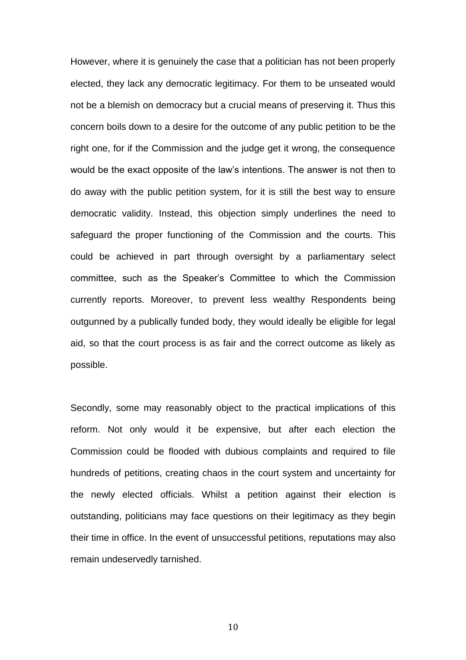However, where it is genuinely the case that a politician has not been properly elected, they lack any democratic legitimacy. For them to be unseated would not be a blemish on democracy but a crucial means of preserving it. Thus this concern boils down to a desire for the outcome of any public petition to be the right one, for if the Commission and the judge get it wrong, the consequence would be the exact opposite of the law's intentions. The answer is not then to do away with the public petition system, for it is still the best way to ensure democratic validity. Instead, this objection simply underlines the need to safeguard the proper functioning of the Commission and the courts. This could be achieved in part through oversight by a parliamentary select committee, such as the Speaker's Committee to which the Commission currently reports. Moreover, to prevent less wealthy Respondents being outgunned by a publically funded body, they would ideally be eligible for legal aid, so that the court process is as fair and the correct outcome as likely as possible.

Secondly, some may reasonably object to the practical implications of this reform. Not only would it be expensive, but after each election the Commission could be flooded with dubious complaints and required to file hundreds of petitions, creating chaos in the court system and uncertainty for the newly elected officials. Whilst a petition against their election is outstanding, politicians may face questions on their legitimacy as they begin their time in office. In the event of unsuccessful petitions, reputations may also remain undeservedly tarnished.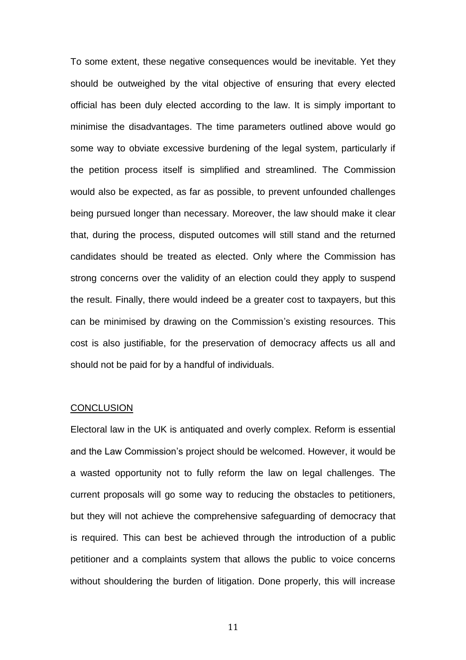To some extent, these negative consequences would be inevitable. Yet they should be outweighed by the vital objective of ensuring that every elected official has been duly elected according to the law. It is simply important to minimise the disadvantages. The time parameters outlined above would go some way to obviate excessive burdening of the legal system, particularly if the petition process itself is simplified and streamlined. The Commission would also be expected, as far as possible, to prevent unfounded challenges being pursued longer than necessary. Moreover, the law should make it clear that, during the process, disputed outcomes will still stand and the returned candidates should be treated as elected. Only where the Commission has strong concerns over the validity of an election could they apply to suspend the result. Finally, there would indeed be a greater cost to taxpayers, but this can be minimised by drawing on the Commission's existing resources. This cost is also justifiable, for the preservation of democracy affects us all and should not be paid for by a handful of individuals.

#### **CONCLUSION**

Electoral law in the UK is antiquated and overly complex. Reform is essential and the Law Commission's project should be welcomed. However, it would be a wasted opportunity not to fully reform the law on legal challenges. The current proposals will go some way to reducing the obstacles to petitioners, but they will not achieve the comprehensive safeguarding of democracy that is required. This can best be achieved through the introduction of a public petitioner and a complaints system that allows the public to voice concerns without shouldering the burden of litigation. Done properly, this will increase